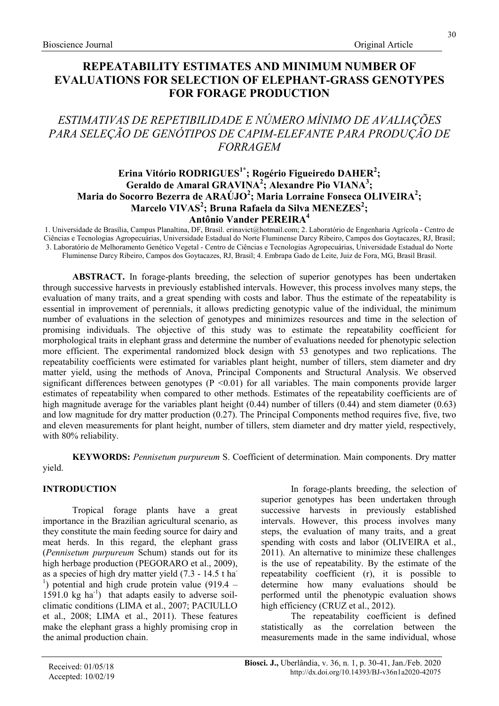# REPEATABILITY ESTIMATES AND MINIMUM NUMBER OF EVALUATIONS FOR SELECTION OF ELEPHANT-GRASS GENOTYPES FOR FORAGE PRODUCTION

# ESTIMATIVAS DE REPETIBILIDADE E NÚMERO MÍNIMO DE AVALIAÇÕES PARA SELEÇÃO DE GENÓTIPOS DE CAPIM-ELEFANTE PARA PRODUÇÃO DE FORRAGEM

## Erina Vitório RODRIGUES $^{1*}$ ; Rogério Figueiredo DAHER $^{2}$ ; Geraldo de Amaral GRAVINA<sup>2</sup>; Alexandre Pio VIANA<sup>3</sup>; Maria do Socorro Bezerra de ARAÚJO $^2$ ; Maria Lorraine Fonseca OLIVEIRA $^2;$ Marcelo VIVAS<sup>2</sup>; Bruna Rafaela da Silva MENEZES<sup>2</sup>;

## Antônio Vander PEREIRA<sup>4</sup>

1. Universidade de Brasília, Campus Planaltina, DF, Brasil. erinavict@hotmail.com; 2. Laboratório de Engenharia Agrícola - Centro de Ciências e Tecnologias Agropecuárias, Universidade Estadual do Norte Fluminense Darcy Ribeiro, Campos dos Goytacazes, RJ, Brasil; 3. Laboratório de Melhoramento Genético Vegetal - Centro de Ciências e Tecnologias Agropecuárias, Universidade Estadual do Norte Fluminense Darcy Ribeiro, Campos dos Goytacazes, RJ, Brasil; 4. Embrapa Gado de Leite, Juiz de Fora, MG, Brasil Brasil.

ABSTRACT. In forage-plants breeding, the selection of superior genotypes has been undertaken through successive harvests in previously established intervals. However, this process involves many steps, the evaluation of many traits, and a great spending with costs and labor. Thus the estimate of the repeatability is essential in improvement of perennials, it allows predicting genotypic value of the individual, the minimum number of evaluations in the selection of genotypes and minimizes resources and time in the selection of promising individuals. The objective of this study was to estimate the repeatability coefficient for morphological traits in elephant grass and determine the number of evaluations needed for phenotypic selection more efficient. The experimental randomized block design with 53 genotypes and two replications. The repeatability coefficients were estimated for variables plant height, number of tillers, stem diameter and dry matter yield, using the methods of Anova, Principal Components and Structural Analysis. We observed significant differences between genotypes  $(P \le 0.01)$  for all variables. The main components provide larger estimates of repeatability when compared to other methods. Estimates of the repeatability coefficients are of high magnitude average for the variables plant height (0.44) number of tillers (0.44) and stem diameter (0.63) and low magnitude for dry matter production (0.27). The Principal Components method requires five, five, two and eleven measurements for plant height, number of tillers, stem diameter and dry matter yield, respectively, with 80% reliability.

KEYWORDS: Pennisetum purpureum S. Coefficient of determination. Main components. Dry matter yield.

## INTRODUCTION

Tropical forage plants have a great importance in the Brazilian agricultural scenario, as they constitute the main feeding source for dairy and meat herds. In this regard, the elephant grass (Pennisetum purpureum Schum) stands out for its high herbage production (PEGORARO et al., 2009), as a species of high dry matter yield (7.3 - 14.5 t ha-<sup>1</sup>) potential and high crude protein value (919.4 – 1591.0 kg ha<sup>-1</sup>) that adapts easily to adverse soilclimatic conditions (LIMA et al., 2007; PACIULLO et al., 2008; LIMA et al., 2011). These features make the elephant grass a highly promising crop in the animal production chain.

In forage-plants breeding, the selection of superior genotypes has been undertaken through successive harvests in previously established intervals. However, this process involves many steps, the evaluation of many traits, and a great spending with costs and labor (OLIVEIRA et al., 2011). An alternative to minimize these challenges is the use of repeatability. By the estimate of the repeatability coefficient (r), it is possible to determine how many evaluations should be performed until the phenotypic evaluation shows high efficiency (CRUZ et al., 2012).

The repeatability coefficient is defined statistically as the correlation between the measurements made in the same individual, whose

30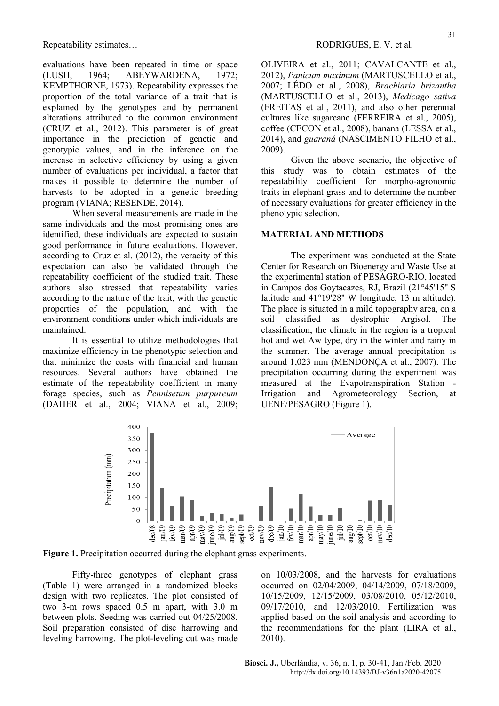evaluations have been repeated in time or space (LUSH, 1964; ABEYWARDENA, 1972; KEMPTHORNE, 1973). Repeatability expresses the proportion of the total variance of a trait that is explained by the genotypes and by permanent alterations attributed to the common environment (CRUZ et al., 2012). This parameter is of great importance in the prediction of genetic and genotypic values, and in the inference on the increase in selective efficiency by using a given number of evaluations per individual, a factor that makes it possible to determine the number of harvests to be adopted in a genetic breeding program (VIANA; RESENDE, 2014).

When several measurements are made in the same individuals and the most promising ones are identified, these individuals are expected to sustain good performance in future evaluations. However, according to Cruz et al. (2012), the veracity of this expectation can also be validated through the repeatability coefficient of the studied trait. These authors also stressed that repeatability varies according to the nature of the trait, with the genetic properties of the population, and with the environment conditions under which individuals are maintained.

It is essential to utilize methodologies that maximize efficiency in the phenotypic selection and that minimize the costs with financial and human resources. Several authors have obtained the estimate of the repeatability coefficient in many forage species, such as Pennisetum purpureum (DAHER et al., 2004; VIANA et al., 2009; OLIVEIRA et al., 2011; CAVALCANTE et al., 2012), Panicum maximum (MARTUSCELLO et al., 2007; LÉDO et al., 2008), Brachiaria brizantha (MARTUSCELLO et al., 2013), Medicago sativa (FREITAS et al., 2011), and also other perennial cultures like sugarcane (FERREIRA et al., 2005), coffee (CECON et al., 2008), banana (LESSA et al., 2014), and guaraná (NASCIMENTO FILHO et al., 2009).

Given the above scenario, the objective of this study was to obtain estimates of the repeatability coefficient for morpho-agronomic traits in elephant grass and to determine the number of necessary evaluations for greater efficiency in the phenotypic selection.

### MATERIAL AND METHODS

The experiment was conducted at the State Center for Research on Bioenergy and Waste Use at the experimental station of PESAGRO-RIO, located in Campos dos Goytacazes, RJ, Brazil (21°45'15'' S latitude and 41°19'28'' W longitude; 13 m altitude). The place is situated in a mild topography area, on a soil classified as dystrophic Argisol. The classification, the climate in the region is a tropical hot and wet Aw type, dry in the winter and rainy in the summer. The average annual precipitation is around 1,023 mm (MENDONÇA et al., 2007). The precipitation occurring during the experiment was measured at the Evapotranspiration Station - Irrigation and Agrometeorology Section, at UENF/PESAGRO (Figure 1).



Figure 1. Precipitation occurred during the elephant grass experiments.

Fifty-three genotypes of elephant grass (Table 1) were arranged in a randomized blocks design with two replicates. The plot consisted of two 3-m rows spaced 0.5 m apart, with 3.0 m between plots. Seeding was carried out 04/25/2008. Soil preparation consisted of disc harrowing and leveling harrowing. The plot-leveling cut was made on 10/03/2008, and the harvests for evaluations occurred on 02/04/2009, 04/14/2009, 07/18/2009, 10/15/2009, 12/15/2009, 03/08/2010, 05/12/2010, 09/17/2010, and 12/03/2010. Fertilization was applied based on the soil analysis and according to the recommendations for the plant (LIRA et al., 2010).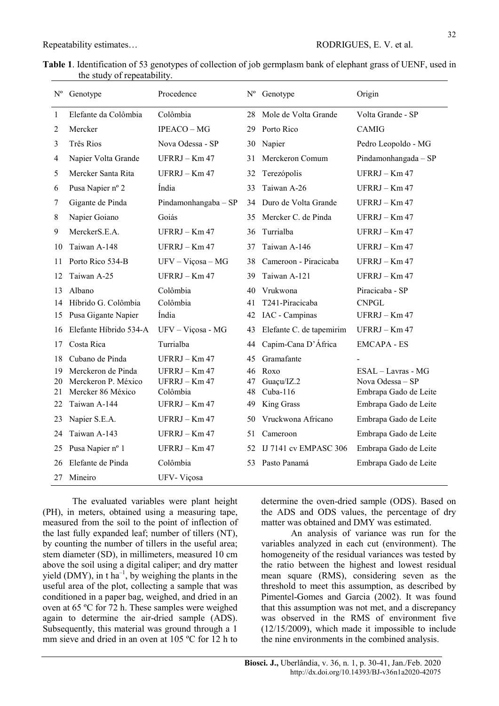|                             | Table 1. Identification of 53 genotypes of collection of job germplasm bank of elephant grass of UENF, used in |
|-----------------------------|----------------------------------------------------------------------------------------------------------------|
| the study of repeatability. |                                                                                                                |

| $\mathbf{N}^{\text{o}}$ | Genotype               | Procedence           |    | Nº Genotype                  | Origin                 |
|-------------------------|------------------------|----------------------|----|------------------------------|------------------------|
| 1                       | Elefante da Colômbia   | Colômbia             | 28 | Mole de Volta Grande         | Volta Grande - SP      |
| 2                       | Mercker                | IPEACO - MG          | 29 | Porto Rico                   | <b>CAMIG</b>           |
| 3                       | Três Rios              | Nova Odessa - SP     | 30 | Napier                       | Pedro Leopoldo - MG    |
| 4                       | Napier Volta Grande    | UFRRJ – Km 47        | 31 | Merckeron Comum              | Pindamonhangada $-$ SP |
| 5                       | Mercker Santa Rita     | $UFRRJ - Km 47$      | 32 | Terezópolis                  | UFRRJ - Km 47          |
| 6                       | Pusa Napier nº 2       | Índia                | 33 | Taiwan A-26                  | $UFRRI - Km 47$        |
| 7                       | Gigante de Pinda       | Pindamonhangaba - SP | 34 | Duro de Volta Grande         | UFRRJ - Km 47          |
| 8                       | Napier Goiano          | Goiás                | 35 | Mercker C. de Pinda          | UFRRJ - Km 47          |
| 9                       | MerckerS.E.A.          | $UFRRJ - Km 47$      | 36 | Turrialba                    | UFRRJ - Km 47          |
| 10                      | Taiwan A-148           | UFRRJ – $Km 47$      | 37 | Taiwan A-146                 | $UFRRJ - Km 47$        |
| 11                      | Porto Rico 534-B       | $UFV - Viçosa - MG$  | 38 | Cameroon - Piracicaba        | $UFRRJ - Km 47$        |
| 12                      | Taiwan A-25            | $UFRRJ - Km 47$      | 39 | Taiwan A-121                 | UFRRJ - Km 47          |
| 13                      | Albano                 | Colômbia             | 40 | Vrukwona                     | Piracicaba - SP        |
| 14                      | Híbrido G. Colômbia    | Colômbia             | 41 | T241-Piracicaba              | <b>CNPGL</b>           |
| 15                      | Pusa Gigante Napier    | Índia                | 42 | IAC - Campinas               | UFRRJ - Km 47          |
| 16                      | Elefante Híbrido 534-A | UFV - Viçosa - MG    | 43 | Elefante C. de tapemirim     | UFRRJ - Km 47          |
| 17                      | Costa Rica             | Turrialba            | 44 | Capim-Cana D'África          | <b>EMCAPA - ES</b>     |
| 18                      | Cubano de Pinda        | $UFRRJ - Km 47$      | 45 | Gramafante                   |                        |
| 19                      | Merckeron de Pinda     | UFRRJ – Km 47        | 46 | Roxo                         | ESAL - Lavras - MG     |
| 20                      | Merckeron P. México    | UFRRJ - Km 47        | 47 | Guaçu/IZ.2                   | Nova Odessa - SP       |
| 21                      | Mercker 86 México      | Colômbia             | 48 | $Cuba-116$                   | Embrapa Gado de Leite  |
| 22                      | Taiwan A-144           | UFRRJ - Km 47        | 49 | King Grass                   | Embrapa Gado de Leite  |
| 23                      | Napier S.E.A.          | UFRRJ – $Km 47$      | 50 | Vruckwona Africano           | Embrapa Gado de Leite  |
| 24                      | Taiwan A-143           | UFRRJ - Km 47        | 51 | Cameroon                     | Embrapa Gado de Leite  |
| 25                      | Pusa Napier nº 1       | UFRRJ - Km 47        | 52 | <b>IJ 7141 cv EMPASC 306</b> | Embrapa Gado de Leite  |
| 26                      | Elefante de Pinda      | Colômbia             | 53 | Pasto Panamá                 | Embrapa Gado de Leite  |
| 27                      | Mineiro                | UFV-Viçosa           |    |                              |                        |

The evaluated variables were plant height (PH), in meters, obtained using a measuring tape, measured from the soil to the point of inflection of the last fully expanded leaf; number of tillers (NT), by counting the number of tillers in the useful area; stem diameter (SD), in millimeters, measured 10 cm above the soil using a digital caliper; and dry matter yield (DMY), in t ha<sup>-1</sup>, by weighing the plants in the useful area of the plot, collecting a sample that was conditioned in a paper bag, weighed, and dried in an oven at 65 ºC for 72 h. These samples were weighed again to determine the air-dried sample (ADS). Subsequently, this material was ground through a 1 mm sieve and dried in an oven at 105 ºC for 12 h to

determine the oven-dried sample (ODS). Based on the ADS and ODS values, the percentage of dry matter was obtained and DMY was estimated.

An analysis of variance was run for the variables analyzed in each cut (environment). The homogeneity of the residual variances was tested by the ratio between the highest and lowest residual mean square (RMS), considering seven as the threshold to meet this assumption, as described by Pimentel-Gomes and Garcia (2002). It was found that this assumption was not met, and a discrepancy was observed in the RMS of environment five (12/15/2009), which made it impossible to include the nine environments in the combined analysis.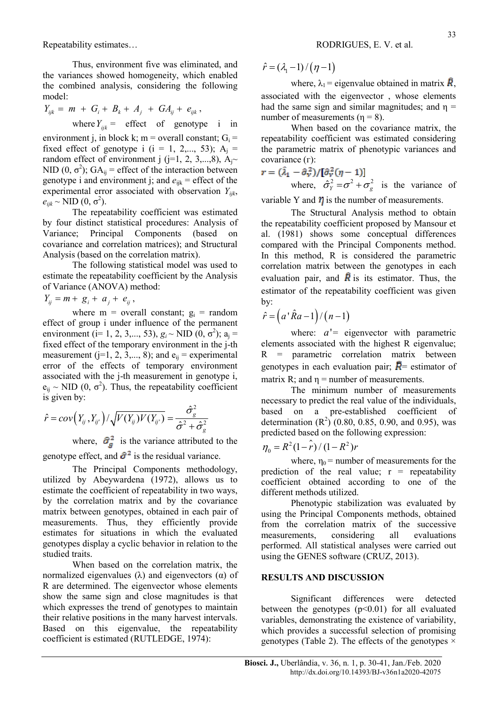Thus, environment five was eliminated, and the variances showed homogeneity, which enabled the combined analysis, considering the following model:

$$
Y_{ijk} = m + G_i + B_k + A_j + G A_{ij} + e_{ijk},
$$
  
where  $Y_{ijk} =$  effect of genotype i in

environment j, in block k; m = overall constant;  $G_i$  = fixed effect of genotype i (i = 1, 2,..., 53);  $A_i$  = random effect of environment j (j=1, 2, 3,...,8),  $A_i \sim$ NID (0,  $\sigma^2$ ); GA<sub>ij</sub> = effect of the interaction between genotype i and environment j; and  $e_{ijk}$  = effect of the experimental error associated with observation  $Y_{ijk}$ ,  $e_{ijk}$  ~ NID  $(0, \sigma^2)$ .

The repeatability coefficient was estimated by four distinct statistical procedures: Analysis of Variance; Principal Components (based on covariance and correlation matrices); and Structural Analysis (based on the correlation matrix).

The following statistical model was used to estimate the repeatability coefficient by the Analysis of Variance (ANOVA) method:

$$
Y_{ij} = m + g_i + a_j + e_{ij},
$$

where  $m =$  overall constant;  $g_i =$  random effect of group i under influence of the permanent environment ( $i=1, 2, 3,..., 53$ ),  $g_i \sim$  NID ( $\hat{0}, \sigma^2$ );  $a_j =$ fixed effect of the temporary environment in the j-th measurement (j=1, 2, 3,..., 8); and  $e_{ij}$  = experimental error of the effects of temporary environment associated with the j-th measurement in genotype i,  $e_{ij} \sim \text{NID } (0, \sigma^2)$ . Thus, the repeatability coefficient is given by: D(0,  $\sigma^2$ ).<br>
The repeatability coefficient was estimated<br>
distinct statistical procedures: Analysis of<br>
the repeatability coefficient proposents (based on al. (1981) shows some complement<br>
certain analysis of the repeat

$$
\hat{r} = cov(Y_{ij}, Y_{ij'}) / \sqrt{V(Y_{ij})V(Y_{ij'})} = \frac{\hat{\sigma}_g^2}{\hat{\sigma}^2 + \hat{\sigma}_g^2}
$$

where,  $\hat{\sigma}_{q}^{2}$  is the variance attributed to the genotype effect, and  $\hat{\sigma}^2$  is the residual variance.

The Principal Components methodology, utilized by Abeywardena (1972), allows us to estimate the coefficient of repeatability in two ways, by the correlation matrix and by the covariance matrix between genotypes, obtained in each pair of measurements. Thus, they efficiently provide estimates for situations in which the evaluated genotypes display a cyclic behavior in relation to the studied traits.

When based on the correlation matrix, the normalized eigenvalues (λ) and eigenvectors ( $α$ ) of R are determined. The eigenvector whose elements show the same sign and close magnitudes is that which expresses the trend of genotypes to maintain their relative positions in the many harvest intervals. Based on this eigenvalue, the repeatability coefficient is estimated (RUTLEDGE, 1974):

 $\hat{r} = (\lambda_1 - 1) / (\eta - 1)$ 

where,  $\lambda_1$  = eigenvalue obtained in matrix  $\vec{R}$ , associated with the eigenvector , whose elements had the same sign and similar magnitudes; and  $\eta$  = number of measurements ( $n = 8$ ).

When based on the covariance matrix, the repeatability coefficient was estimated considering the parametric matrix of phenotypic variances and covariance  $(Γ)$ :

$$
\mathbf{r} = (\hat{\lambda}_1 - \hat{\sigma}_W^2) / [\hat{\sigma}_W^2 (\eta - 1)]
$$
  
where,  $\hat{\sigma}_Y^2 = \sigma^2 + \sigma_g^2$  is the variance of

variable Y and  $\eta$  is the number of measurements.

The Structural Analysis method to obtain the repeatability coefficient proposed by Mansour et al. (1981) shows some conceptual differences compared with the Principal Components method. In this method, R is considered the parametric correlation matrix between the genotypes in each evaluation pair, and  $\vec{R}$  is its estimator. Thus, the estimator of the repeatability coefficient was given by: associated with the eigenvector, whose elements<br>
and the same sign and similar magnitudes; and  $\eta$  =<br>
number of measurements ( $\eta = 8$ ).<br>
When based on the covariance matrix, the<br>
repeatability coefficient was estimated c

$$
\hat{r} = (a' \hat{R}a - 1) / (n - 1)
$$

where:  $a'$  = eigenvector with parametric elements associated with the highest R eigenvalue; R = parametric correlation matrix between genotypes in each evaluation pair;  $\vec{R}$  = estimator of matrix R; and  $\eta$  = number of measurements.

The minimum number of measurements necessary to predict the real value of the individuals, based on a pre-established coefficient of determination  $(R^2)$  (0.80, 0.85, 0.90, and 0.95), was predicted based on the following expression:

$$
\eta_0 = R^2 (1 - \hat{r}) / (1 - R^2) r
$$

where,  $\eta_0$  = number of measurements for the prediction of the real value;  $r =$  repeatability coefficient obtained according to one of the different methods utilized.

Phenotypic stabilization was evaluated by using the Principal Components methods, obtained from the correlation matrix of the successive measurements, considering all evaluations performed. All statistical analyses were carried out using the GENES software (CRUZ, 2013).

#### RESULTS AND DISCUSSION

Significant differences were detected between the genotypes  $(p<0.01)$  for all evaluated variables, demonstrating the existence of variability, which provides a successful selection of promising genotypes (Table 2). The effects of the genotypes  $\times$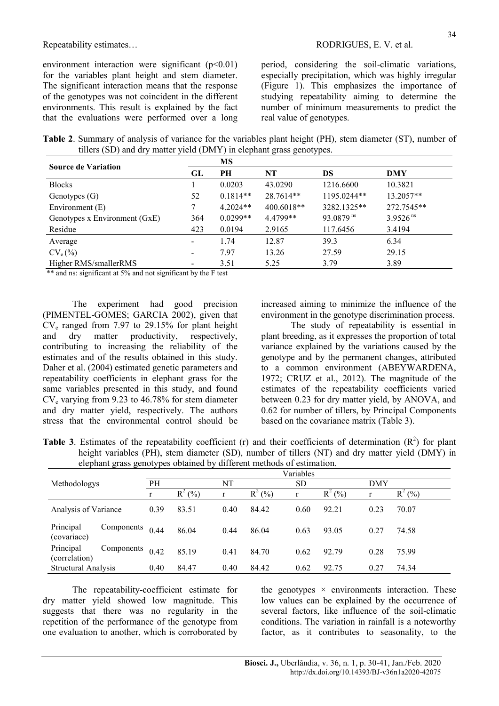environment interaction were significant  $(p<0.01)$ for the variables plant height and stem diameter. The significant interaction means that the response of the genotypes was not coincident in the different environments. This result is explained by the fact that the evaluations were performed over a long

Repeatability estimates…  $\blacksquare$  RODRIGUES, E. V. et al.

period, considering the soil-climatic variations, especially precipitation, which was highly irregular (Figure 1). This emphasizes the importance of studying repeatability aiming to determine the number of minimum measurements to predict the real value of genotypes.

Table 2. Summary of analysis of variance for the variables plant height (PH), stem diameter (ST), number of tillers (SD) and dry matter yield (DMY) in elephant grass genotypes.

| <b>Source de Variation</b>    |     | MS         |            |                       |                        |
|-------------------------------|-----|------------|------------|-----------------------|------------------------|
|                               | GL  | PH         | NT         | DS                    | DMY                    |
| <b>Blocks</b>                 |     | 0.0203     | 43.0290    | 1216.6600             | 10.3821                |
| Genotypes $(G)$               | 52  | $0.1814**$ | 28.7614**  | 1195.0244**           | 13.2057**              |
| Environment $(E)$             |     | $4.2024**$ | 400.6018** | 3282.1325**           | 272.7545**             |
| Genotypes x Environment (GxE) | 364 | $0.0299**$ | 4.4799**   | 93.0879 <sup>ns</sup> | $3.9526$ <sup>ns</sup> |
| Residue                       | 423 | 0.0194     | 2.9165     | 117.6456              | 3.4194                 |
| Average                       |     | 1.74       | 12.87      | 39.3                  | 6.34                   |
| $CV_e(\%)$                    |     | 7.97       | 13.26      | 27.59                 | 29.15                  |
| Higher RMS/smallerRMS         |     | 3.51       | 5.25       | 3.79                  | 3.89                   |

\*\* and ns: significant at 5% and not significant by the F test

The experiment had good precision (PIMENTEL-GOMES; GARCIA 2002), given that CV<sup>e</sup> ranged from 7.97 to 29.15% for plant height and dry matter productivity, respectively, contributing to increasing the reliability of the estimates and of the results obtained in this study. Daher et al. (2004) estimated genetic parameters and repeatability coefficients in elephant grass for the same variables presented in this study, and found  $CV<sub>e</sub>$  varying from 9.23 to 46.78% for stem diameter and dry matter yield, respectively. The authors stress that the environmental control should be

increased aiming to minimize the influence of the environment in the genotype discrimination process.

The study of repeatability is essential in plant breeding, as it expresses the proportion of total variance explained by the variations caused by the genotype and by the permanent changes, attributed to a common environment (ABEYWARDENA, 1972; CRUZ et al., 2012). The magnitude of the estimates of the repeatability coefficients varied between 0.23 for dry matter yield, by ANOVA, and 0.62 for number of tillers, by Principal Components based on the covariance matrix (Table 3).

Table 3. Estimates of the repeatability coefficient (r) and their coefficients of determination  $(R^2)$  for plant height variables (PH), stem diameter (SD), number of tillers (NT) and dry matter yield (DMY) in elephant grass genotypes obtained by different methods of estimation.

|                                          |            |      |          |      |              | Variables |                |              |          |
|------------------------------------------|------------|------|----------|------|--------------|-----------|----------------|--------------|----------|
| Methodologys                             |            | PH   |          | NT   |              | <b>SD</b> |                | DMY          |          |
|                                          |            | r    | $R^2(%)$ | r    | (%)<br>$R^2$ | r         | (0/0)<br>$R^2$ | $\mathbf{r}$ | $R^2(%)$ |
| Analysis of Variance                     |            | 0.39 | 83.51    | 0.40 | 84.42        | 0.60      | 92.21          | 0.23         | 70.07    |
| Principal<br>(covariace)                 | Components | 0.44 | 86.04    | 0.44 | 86.04        | 0.63      | 93.05          | 0.27         | 74.58    |
| Principal<br>Components<br>(correlation) |            | 0.42 | 85.19    | 0.41 | 84.70        | 0.62      | 92.79          | 0.28         | 75.99    |
| Structural Analysis                      |            | 0.40 | 84.47    | 0.40 | 84.42        | 0.62      | 92.75          | 0.27         | 74.34    |

The repeatability-coefficient estimate for dry matter yield showed low magnitude. This suggests that there was no regularity in the repetition of the performance of the genotype from one evaluation to another, which is corroborated by

the genotypes  $\times$  environments interaction. These low values can be explained by the occurrence of several factors, like influence of the soil-climatic conditions. The variation in rainfall is a noteworthy factor, as it contributes to seasonality, to the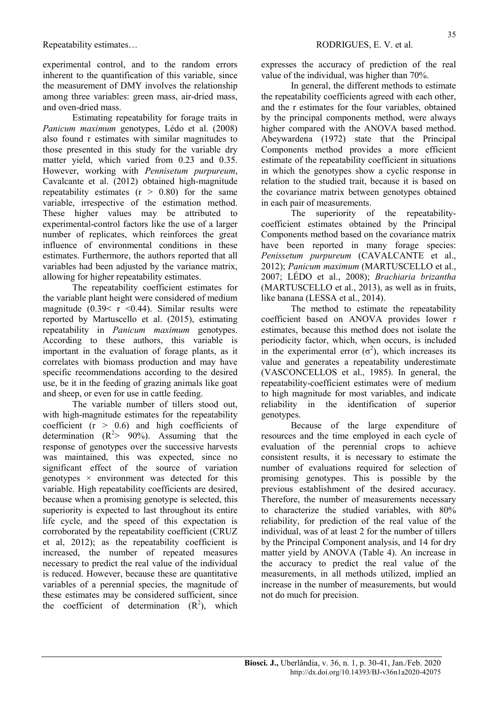experimental control, and to the random errors inherent to the quantification of this variable, since the measurement of DMY involves the relationship among three variables: green mass, air-dried mass, and oven-dried mass.

Estimating repeatability for forage traits in Panicum maximum genotypes, Lédo et al. (2008) also found r estimates with similar magnitudes to those presented in this study for the variable dry matter yield, which varied from 0.23 and 0.35. However, working with Pennisetum purpureum, Cavalcante et al. (2012) obtained high-magnitude repeatability estimates  $(r > 0.80)$  for the same variable, irrespective of the estimation method. These higher values may be attributed to experimental-control factors like the use of a larger number of replicates, which reinforces the great influence of environmental conditions in these estimates. Furthermore, the authors reported that all variables had been adjusted by the variance matrix, allowing for higher repeatability estimates.

The repeatability coefficient estimates for the variable plant height were considered of medium magnitude  $(0.39 < r < 0.44)$ . Similar results were reported by Martuscello et al. (2015), estimating repeatability in Panicum maximum genotypes. According to these authors, this variable is important in the evaluation of forage plants, as it correlates with biomass production and may have specific recommendations according to the desired use, be it in the feeding of grazing animals like goat and sheep, or even for use in cattle feeding.

The variable number of tillers stood out, with high-magnitude estimates for the repeatability coefficient  $(r > 0.6)$  and high coefficients of determination  $(R^2> 90\%)$ . Assuming that the response of genotypes over the successive harvests was maintained, this was expected, since no significant effect of the source of variation genotypes  $\times$  environment was detected for this variable. High repeatability coefficients are desired, because when a promising genotype is selected, this superiority is expected to last throughout its entire life cycle, and the speed of this expectation is corroborated by the repeatability coefficient (CRUZ et al, 2012); as the repeatability coefficient is increased, the number of repeated measures necessary to predict the real value of the individual is reduced. However, because these are quantitative variables of a perennial species, the magnitude of these estimates may be considered sufficient, since the coefficient of determination  $(R^2)$ , which expresses the accuracy of prediction of the real value of the individual, was higher than 70%.

In general, the different methods to estimate the repeatability coefficients agreed with each other, and the r estimates for the four variables, obtained by the principal components method, were always higher compared with the ANOVA based method. Abeywardena (1972) state that the Principal Components method provides a more efficient estimate of the repeatability coefficient in situations in which the genotypes show a cyclic response in relation to the studied trait, because it is based on the covariance matrix between genotypes obtained in each pair of measurements.

The superiority of the repeatabilitycoefficient estimates obtained by the Principal Components method based on the covariance matrix have been reported in many forage species: Penissetum purpureum (CAVALCANTE et al., 2012); Panicum maximum (MARTUSCELLO et al., 2007; LÉDO et al., 2008); Brachiaria brizantha (MARTUSCELLO et al., 2013), as well as in fruits, like banana (LESSA et al., 2014).

The method to estimate the repeatability coefficient based on ANOVA provides lower r estimates, because this method does not isolate the periodicity factor, which, when occurs, is included in the experimental error  $(\sigma^2)$ , which increases its value and generates a repeatability underestimate (VASCONCELLOS et al., 1985). In general, the repeatability-coefficient estimates were of medium to high magnitude for most variables, and indicate reliability in the identification of superior genotypes.

Because of the large expenditure of resources and the time employed in each cycle of evaluation of the perennial crops to achieve consistent results, it is necessary to estimate the number of evaluations required for selection of promising genotypes. This is possible by the previous establishment of the desired accuracy. Therefore, the number of measurements necessary to characterize the studied variables, with 80% reliability, for prediction of the real value of the individual, was of at least 2 for the number of tillers by the Principal Component analysis, and 14 for dry matter yield by ANOVA (Table 4). An increase in the accuracy to predict the real value of the measurements, in all methods utilized, implied an increase in the number of measurements, but would not do much for precision.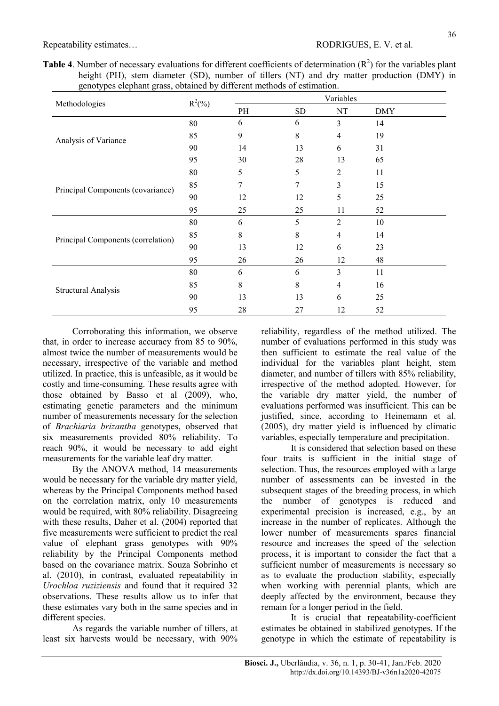| <b>Table 4.</b> Number of necessary evaluations for different coefficients of determination $(R^2)$ for the variables plant |  |  |  |  |  |  |  |  |  |  |  |
|-----------------------------------------------------------------------------------------------------------------------------|--|--|--|--|--|--|--|--|--|--|--|
| height (PH), stem diameter (SD), number of tillers (NT) and dry matter production (DMY) in                                  |  |  |  |  |  |  |  |  |  |  |  |
| genotypes elephant grass, obtained by different methods of estimation.                                                      |  |  |  |  |  |  |  |  |  |  |  |

| Methodologies                      | $R^2(\%)$ |    |                                                                                                                                                                                                                                                                          | Variables                |            |
|------------------------------------|-----------|----|--------------------------------------------------------------------------------------------------------------------------------------------------------------------------------------------------------------------------------------------------------------------------|--------------------------|------------|
|                                    |           | PH | ${\rm SD}$                                                                                                                                                                                                                                                               | NT                       | <b>DMY</b> |
|                                    | $80\,$    | 6  | 6                                                                                                                                                                                                                                                                        | 3                        | 14         |
| Analysis of Variance               | 85        | 9  | 8                                                                                                                                                                                                                                                                        | $\overline{\mathcal{A}}$ | 19         |
|                                    | 90        | 14 | 13                                                                                                                                                                                                                                                                       | 6                        | 31         |
|                                    | 95        | 30 | 28<br>13<br>65<br>5<br>$\overline{2}$<br>11<br>3<br>7<br>15<br>5<br>25<br>12<br>25<br>11<br>52<br>5<br>$\overline{2}$<br>10<br>8<br>$\overline{\mathcal{A}}$<br>14<br>12<br>23<br>6<br>48<br>26<br>12<br>3<br>6<br>11<br>8<br>16<br>4<br>13<br>6<br>25<br>27<br>12<br>52 |                          |            |
|                                    | 80        | 5  |                                                                                                                                                                                                                                                                          |                          |            |
| Principal Components (covariance)  | 85        | 7  |                                                                                                                                                                                                                                                                          |                          |            |
|                                    | 90        | 12 |                                                                                                                                                                                                                                                                          |                          |            |
|                                    | 95        | 25 |                                                                                                                                                                                                                                                                          |                          |            |
|                                    | 80        | 6  |                                                                                                                                                                                                                                                                          |                          |            |
| Principal Components (correlation) | 85        | 8  |                                                                                                                                                                                                                                                                          |                          |            |
|                                    | 90        | 13 |                                                                                                                                                                                                                                                                          |                          |            |
|                                    | 95        | 26 |                                                                                                                                                                                                                                                                          |                          |            |
|                                    | 80        | 6  |                                                                                                                                                                                                                                                                          |                          |            |
| Structural Analysis                | 85        | 8  |                                                                                                                                                                                                                                                                          |                          |            |
|                                    | 90        | 13 |                                                                                                                                                                                                                                                                          |                          |            |
|                                    | 95        | 28 |                                                                                                                                                                                                                                                                          |                          |            |

Corroborating this information, we observe that, in order to increase accuracy from 85 to 90%, almost twice the number of measurements would be necessary, irrespective of the variable and method utilized. In practice, this is unfeasible, as it would be costly and time-consuming. These results agree with those obtained by Basso et al (2009), who, estimating genetic parameters and the minimum number of measurements necessary for the selection of Brachiaria brizantha genotypes, observed that six measurements provided 80% reliability. To reach 90%, it would be necessary to add eight measurements for the variable leaf dry matter.

By the ANOVA method, 14 measurements would be necessary for the variable dry matter yield, whereas by the Principal Components method based on the correlation matrix, only 10 measurements would be required, with 80% reliability. Disagreeing with these results, Daher et al. (2004) reported that five measurements were sufficient to predict the real value of elephant grass genotypes with 90% reliability by the Principal Components method based on the covariance matrix. Souza Sobrinho et al. (2010), in contrast, evaluated repeatability in Urochloa ruziziensis and found that it required 32 observations. These results allow us to infer that these estimates vary both in the same species and in different species.

As regards the variable number of tillers, at least six harvests would be necessary, with 90% reliability, regardless of the method utilized. The number of evaluations performed in this study was then sufficient to estimate the real value of the individual for the variables plant height, stem diameter, and number of tillers with 85% reliability, irrespective of the method adopted. However, for the variable dry matter yield, the number of evaluations performed was insufficient. This can be justified, since, according to Heinemann et al. (2005), dry matter yield is influenced by climatic variables, especially temperature and precipitation.

It is considered that selection based on these four traits is sufficient in the initial stage of selection. Thus, the resources employed with a large number of assessments can be invested in the subsequent stages of the breeding process, in which the number of genotypes is reduced and experimental precision is increased, e.g., by an increase in the number of replicates. Although the lower number of measurements spares financial resource and increases the speed of the selection process, it is important to consider the fact that a sufficient number of measurements is necessary so as to evaluate the production stability, especially when working with perennial plants, which are deeply affected by the environment, because they remain for a longer period in the field.

It is crucial that repeatability-coefficient estimates be obtained in stabilized genotypes. If the genotype in which the estimate of repeatability is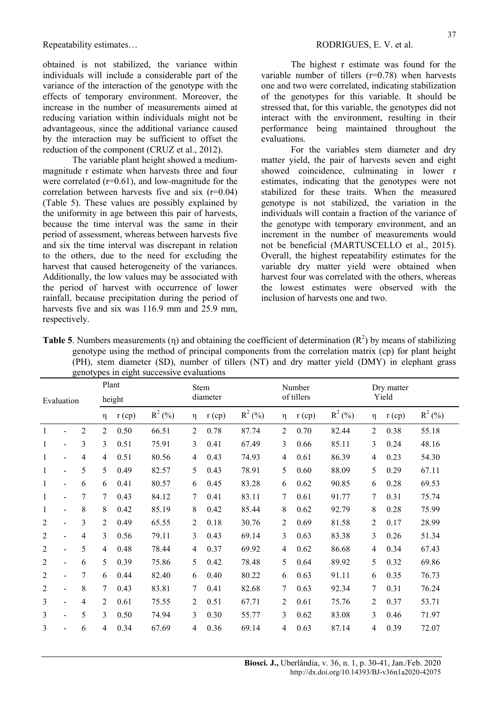obtained is not stabilized, the variance within individuals will include a considerable part of the variance of the interaction of the genotype with the effects of temporary environment. Moreover, the increase in the number of measurements aimed at reducing variation within individuals might not be advantageous, since the additional variance caused by the interaction may be sufficient to offset the reduction of the component (CRUZ et al., 2012).

The variable plant height showed a mediummagnitude r estimate when harvests three and four were correlated  $(r=0.61)$ , and low-magnitude for the correlation between harvests five and six (r=0.04) (Table 5). These values are possibly explained by the uniformity in age between this pair of harvests, because the time interval was the same in their period of assessment, whereas between harvests five and six the time interval was discrepant in relation to the others, due to the need for excluding the harvest that caused heterogeneity of the variances. Additionally, the low values may be associated with the period of harvest with occurrence of lower rainfall, because precipitation during the period of harvests five and six was 116.9 mm and 25.9 mm. respectively.

The highest r estimate was found for the variable number of tillers (r=0.78) when harvests one and two were correlated, indicating stabilization of the genotypes for this variable. It should be stressed that, for this variable, the genotypes did not interact with the environment, resulting in their performance being maintained throughout the evaluations.

For the variables stem diameter and dry matter yield, the pair of harvests seven and eight showed coincidence, culminating in lower r estimates, indicating that the genotypes were not stabilized for these traits. When the measured genotype is not stabilized, the variation in the individuals will contain a fraction of the variance of the genotype with temporary environment, and an increment in the number of measurements would not be beneficial (MARTUSCELLO et al., 2015). Overall, the highest repeatability estimates for the variable dry matter yield were obtained when harvest four was correlated with the others, whereas the lowest estimates were observed with the inclusion of harvests one and two.

**Table 5.** Numbers measurements (η) and obtaining the coefficient of determination  $(R^2)$  by means of stabilizing genotype using the method of principal components from the correlation matrix (cp) for plant height (PH), stem diameter (SD), number of tillers (NT) and dry matter yield (DMY) in elephant grass genotypes in eight successive evaluations

| Evaluation     |                              |                | Plant<br>height |          |           | Stem<br>diameter |          |           | Number<br>of tillers |          |           | Dry matter<br>Yield |          |           |
|----------------|------------------------------|----------------|-----------------|----------|-----------|------------------|----------|-----------|----------------------|----------|-----------|---------------------|----------|-----------|
|                |                              |                | η               | $r$ (cp) | $R^2$ (%) | η                | $r$ (cp) | $R^2$ (%) | η                    | $r$ (cp) | $R^2$ (%) | η                   | $r$ (cp) | $R^2$ (%) |
| 1              | $\overline{a}$               | $\overline{2}$ | $\overline{2}$  | 0.50     | 66.51     | $\overline{2}$   | 0.78     | 87.74     | $\overline{2}$       | 0.70     | 82.44     | $\overline{2}$      | 0.38     | 55.18     |
| 1              | $\overline{a}$               | 3              | 3               | 0.51     | 75.91     | 3                | 0.41     | 67.49     | 3                    | 0.66     | 85.11     | 3                   | 0.24     | 48.16     |
| 1              | $\overline{\phantom{a}}$     | 4              | 4               | 0.51     | 80.56     | 4                | 0.43     | 74.93     | 4                    | 0.61     | 86.39     | 4                   | 0.23     | 54.30     |
| $\mathbf{1}$   | $\blacksquare$               | 5              | 5               | 0.49     | 82.57     | 5                | 0.43     | 78.91     | 5                    | 0.60     | 88.09     | 5                   | 0.29     | 67.11     |
| $\mathbf{1}$   | $\blacksquare$               | 6              | 6               | 0.41     | 80.57     | 6                | 0.45     | 83.28     | 6                    | 0.62     | 90.85     | 6                   | 0.28     | 69.53     |
| 1              | $\overline{a}$               | 7              | 7               | 0.43     | 84.12     | 7                | 0.41     | 83.11     | 7                    | 0.61     | 91.77     | 7                   | 0.31     | 75.74     |
| 1              | $\overline{\phantom{a}}$     | 8              | 8               | 0.42     | 85.19     | 8                | 0.42     | 85.44     | 8                    | 0.62     | 92.79     | 8                   | 0.28     | 75.99     |
| 2              | $\blacksquare$               | 3              | 2               | 0.49     | 65.55     | 2                | 0.18     | 30.76     | 2                    | 0.69     | 81.58     | 2                   | 0.17     | 28.99     |
| 2              | $\overline{\phantom{a}}$     | 4              | 3               | 0.56     | 79.11     | 3                | 0.43     | 69.14     | 3                    | 0.63     | 83.38     | 3                   | 0.26     | 51.34     |
| 2              | $\overline{\phantom{0}}$     | 5              | 4               | 0.48     | 78.44     | 4                | 0.37     | 69.92     | 4                    | 0.62     | 86.68     | 4                   | 0.34     | 67.43     |
| $\overline{2}$ | $\overline{\phantom{a}}$     | 6              | 5               | 0.39     | 75.86     | 5                | 0.42     | 78.48     | 5                    | 0.64     | 89.92     | 5                   | 0.32     | 69.86     |
| 2              | $\blacksquare$               | 7              | 6               | 0.44     | 82.40     | 6                | 0.40     | 80.22     | 6                    | 0.63     | 91.11     | 6                   | 0.35     | 76.73     |
| $\overline{2}$ | $\overline{\phantom{0}}$     | 8              | 7               | 0.43     | 83.81     | 7                | 0.41     | 82.68     | 7                    | 0.63     | 92.34     | 7                   | 0.31     | 76.24     |
| 3              | -                            | 4              | $\overline{2}$  | 0.61     | 75.55     | $\overline{2}$   | 0.51     | 67.71     | 2                    | 0.61     | 75.76     | 2                   | 0.37     | 53.71     |
| 3              | $\qquad \qquad \blacksquare$ | 5              | 3               | 0.50     | 74.94     | 3                | 0.30     | 55.77     | 3                    | 0.62     | 83.08     | 3                   | 0.46     | 71.97     |
| 3              | $\qquad \qquad \blacksquare$ | 6              | 4               | 0.34     | 67.69     | 4                | 0.36     | 69.14     | 4                    | 0.63     | 87.14     | 4                   | 0.39     | 72.07     |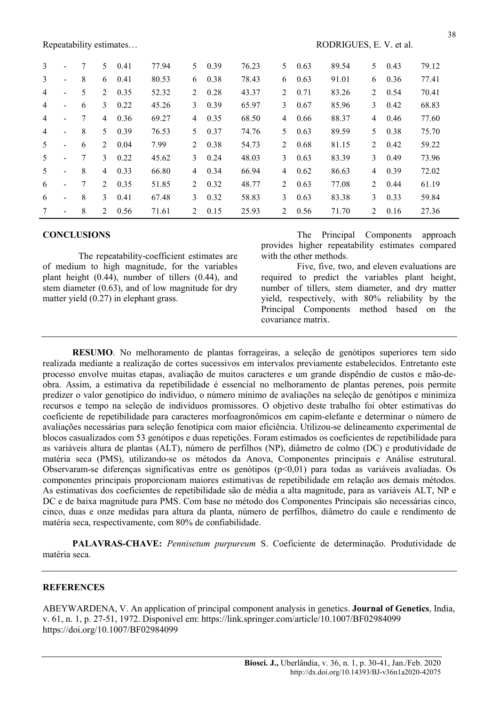| 3 | $\overline{\phantom{a}}$ | 7 | 5.      | 0.41 | 77.94 | 5              | 0.39 | 76.23 | 5.             | 0.63 | 89.54 | 5       | 0.43 | 79.12 |
|---|--------------------------|---|---------|------|-------|----------------|------|-------|----------------|------|-------|---------|------|-------|
| 3 | $\overline{\phantom{a}}$ | 8 | 6       | 0.41 | 80.53 | 6              | 0.38 | 78.43 | 6              | 0.63 | 91.01 | 6       | 0.36 | 77.41 |
| 4 | $\overline{\phantom{a}}$ | 5 | 2       | 0.35 | 52.32 | 2              | 0.28 | 43.37 | 2              | 0.71 | 83.26 | 2       | 0.54 | 70.41 |
| 4 | $\overline{\phantom{a}}$ | 6 | 3       | 0.22 | 45.26 | 3              | 0.39 | 65.97 | 3              | 0.67 | 85.96 | 3       | 0.42 | 68.83 |
| 4 | $\overline{\phantom{0}}$ | 7 | 4       | 0.36 | 69.27 | 4              | 0.35 | 68.50 | 4              | 0.66 | 88.37 | 4       | 0.46 | 77.60 |
| 4 | $\overline{\phantom{a}}$ | 8 | 5.      | 0.39 | 76.53 | 5.             | 0.37 | 74.76 | 5.             | 0.63 | 89.59 | 5.      | 0.38 | 75.70 |
| 5 | $\overline{\phantom{0}}$ | 6 | 2       | 0.04 | 7.99  | $2^{\circ}$    | 0.38 | 54.73 | 2              | 0.68 | 81.15 | 2       | 0.42 | 59.22 |
| 5 | $\overline{\phantom{a}}$ | 7 | 3       | 0.22 | 45.62 | 3              | 0.24 | 48.03 | 3              | 0.63 | 83.39 | 3       | 0.49 | 73.96 |
| 5 | $\blacksquare$           | 8 | 4       | 0.33 | 66.80 | $\overline{4}$ | 0.34 | 66.94 | 4              | 0.62 | 86.63 | 4       | 0.39 | 72.02 |
| 6 | $\blacksquare$           | 7 | $2^{1}$ | 0.35 | 51.85 | $2^{\circ}$    | 0.32 | 48.77 | $\mathfrak{D}$ | 0.63 | 77.08 | $2^{1}$ | 0.44 | 61.19 |
| 6 | $\blacksquare$           | 8 | 3       | 0.41 | 67.48 | $\mathcal{E}$  | 0.32 | 58.83 | 3              | 0.63 | 83.38 | 3       | 0.33 | 59.84 |
| 7 | $\overline{\phantom{a}}$ | 8 | $2^{1}$ | 0.56 | 71.61 | $2^{\circ}$    | 0.15 | 25.93 | $2^{1}$        | 0.56 | 71.70 | $2^{1}$ | 0.16 | 27.36 |

### **CONCLUSIONS**

The repeatability-coefficient estimates are of medium to high magnitude, for the variables plant height (0.44), number of tillers (0.44), and stem diameter (0.63), and of low magnitude for dry matter yield (0.27) in elephant grass.

The Principal Components approach provides higher repeatability estimates compared with the other methods.

Five, five, two, and eleven evaluations are required to predict the variables plant height, number of tillers, stem diameter, and dry matter yield, respectively, with 80% reliability by the Principal Components method based on the covariance matrix.

RESUMO. No melhoramento de plantas forrageiras, a seleção de genótipos superiores tem sido realizada mediante a realização de cortes sucessivos em intervalos previamente estabelecidos. Entretanto este processo envolve muitas etapas, avaliação de muitos caracteres e um grande dispêndio de custos e mão-deobra. Assim, a estimativa da repetibilidade é essencial no melhoramento de plantas perenes, pois permite predizer o valor genotípico do indivíduo, o número mínimo de avaliações na seleção de genótipos e minimiza recursos e tempo na seleção de indivíduos promissores. O objetivo deste trabalho foi obter estimativas do coeficiente de repetibilidade para caracteres morfoagronômicos em capim-elefante e determinar o número de avaliações necessárias para seleção fenotípica com maior eficiência. Utilizou-se delineamento experimental de blocos casualizados com 53 genótipos e duas repetições. Foram estimados os coeficientes de repetibilidade para as variáveis altura de plantas (ALT), número de perfilhos (NP), diâmetro de colmo (DC) e produtividade de matéria seca (PMS), utilizando-se os métodos da Anova, Componentes principais e Análise estrutural. Observaram-se diferenças significativas entre os genótipos (p<0,01) para todas as variáveis avaliadas. Os componentes principais proporcionam maiores estimativas de repetibilidade em relação aos demais métodos. As estimativas dos coeficientes de repetibilidade são de média a alta magnitude, para as variáveis ALT, NP e DC e de baixa magnitude para PMS. Com base no método dos Componentes Principais são necessárias cinco, cinco, duas e onze medidas para altura da planta, número de perfilhos, diâmetro do caule e rendimento de matéria seca, respectivamente, com 80% de confiabilidade.

PALAVRAS-CHAVE: Pennisetum purpureum S. Coeficiente de determinação. Produtividade de matéria seca.

### **REFERENCES**

ABEYWARDENA, V. An application of principal component analysis in genetics. Journal of Genetics, India, v. 61, n. 1, p. 27-51, 1972. Disponível em: https://link.springer.com/article/10.1007/BF02984099 https://doi.org/10.1007/BF02984099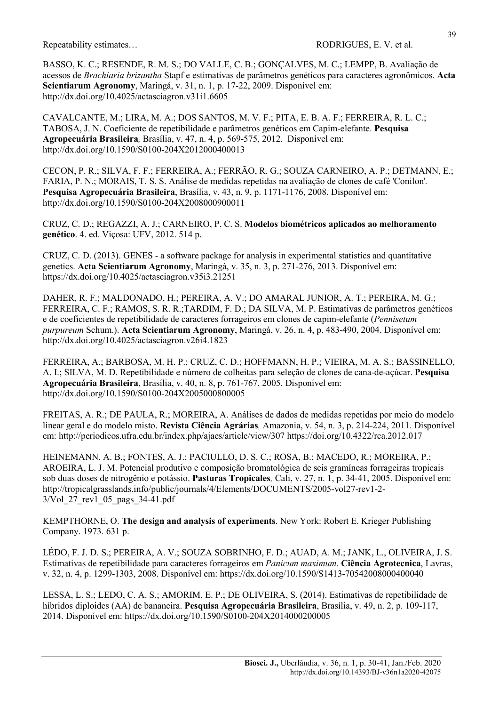BASSO, K. C.; RESENDE, R. M. S.; DO VALLE, C. B.; GONÇALVES, M. C.; LEMPP, B. Avaliação de acessos de Brachiaria brizantha Stapf e estimativas de parâmetros genéticos para caracteres agronômicos. Acta Scientiarum Agronomy, Maringá, v. 31, n. 1, p. 17-22, 2009. Disponível em: http://dx.doi.org/10.4025/actasciagron.v31i1.6605

CAVALCANTE, M.; LIRA, M. A.; DOS SANTOS, M. V. F.; PITA, E. B. A. F.; FERREIRA, R. L. C.; TABOSA, J. N. Coeficiente de repetibilidade e parâmetros genéticos em Capim-elefante. Pesquisa Agropecuária Brasileira, Brasília, v. 47, n. 4, p. 569-575, 2012. Disponível em: http://dx.doi.org/10.1590/S0100-204X2012000400013

CECON, P. R.; SILVA, F. F.; FERREIRA, A.; FERRÃO, R. G.; SOUZA CARNEIRO, A. P.; DETMANN, E.; FARIA, P. N.; MORAIS, T. S. S. Análise de medidas repetidas na avaliação de clones de café 'Conilon'. Pesquisa Agropecuária Brasileira, Brasília, v. 43, n. 9, p. 1171-1176, 2008. Disponível em: http://dx.doi.org/10.1590/S0100-204X2008000900011

CRUZ, C. D.; REGAZZI, A. J.; CARNEIRO, P. C. S. Modelos biométricos aplicados ao melhoramento genético. 4. ed. Viçosa: UFV, 2012. 514 p.

CRUZ, C. D. (2013). GENES - a software package for analysis in experimental statistics and quantitative genetics. Acta Scientiarum Agronomy, Maringá, v. 35, n. 3, p. 271-276, 2013. Disponível em: https://dx.doi.org/10.4025/actasciagron.v35i3.21251

DAHER, R. F.; MALDONADO, H.; PEREIRA, A. V.; DO AMARAL JUNIOR, A. T.; PEREIRA, M. G.; FERREIRA, C. F.; RAMOS, S. R. R.;TARDIM, F. D.; DA SILVA, M. P. Estimativas de parâmetros genéticos e de coeficientes de repetibilidade de caracteres forrageiros em clones de capim-elefante (Pennisetum purpureum Schum.). Acta Scientiarum Agronomy, Maringá, v. 26, n. 4, p. 483-490, 2004. Disponível em: http://dx.doi.org/10.4025/actasciagron.v26i4.1823

FERREIRA, A.; BARBOSA, M. H. P.; CRUZ, C. D.; HOFFMANN, H. P.; VIEIRA, M. A. S.; BASSINELLO, A. I.; SILVA, M. D. Repetibilidade e número de colheitas para seleção de clones de cana-de-açúcar. Pesquisa Agropecuária Brasileira, Brasília, v. 40, n. 8, p. 761-767, 2005. Disponível em: http://dx.doi.org/10.1590/S0100-204X2005000800005

FREITAS, A. R.; DE PAULA, R.; MOREIRA, A. Análises de dados de medidas repetidas por meio do modelo linear geral e do modelo misto. Revista Ciência Agrárias, Amazonia, v. 54, n. 3, p. 214-224, 2011. Disponível em: http://periodicos.ufra.edu.br/index.php/ajaes/article/view/307 https://doi.org/10.4322/rca.2012.017

HEINEMANN, A. B.; FONTES, A. J.; PACIULLO, D. S. C.; ROSA, B.; MACEDO, R.; MOREIRA, P.; AROEIRA, L. J. M. Potencial produtivo e composição bromatológica de seis gramíneas forrageiras tropicais sob duas doses de nitrogênio e potássio. Pasturas Tropicales, Cali, v. 27, n. 1, p. 34-41, 2005. Disponível em: http://tropicalgrasslands.info/public/journals/4/Elements/DOCUMENTS/2005-vol27-rev1-2- 3/Vol\_27\_rev1\_05\_pags\_34-41.pdf

KEMPTHORNE, O. The design and analysis of experiments. New York: Robert E. Krieger Publishing Company. 1973. 631 p.

LÉDO, F. J. D. S.; PEREIRA, A. V.; SOUZA SOBRINHO, F. D.; AUAD, A. M.; JANK, L., OLIVEIRA, J. S. Estimativas de repetibilidade para caracteres forrageiros em Panicum maximum. Ciência Agrotecnica, Lavras, v. 32, n. 4, p. 1299-1303, 2008. Disponível em: https://dx.doi.org/10.1590/S1413-70542008000400040

LESSA, L. S.; LEDO, C. A. S.; AMORIM, E. P.; DE OLIVEIRA, S. (2014). Estimativas de repetibilidade de híbridos diploides (AA) de bananeira. Pesquisa Agropecuária Brasileira, Brasília, v. 49, n. 2, p. 109-117, 2014. Disponível em: https://dx.doi.org/10.1590/S0100-204X2014000200005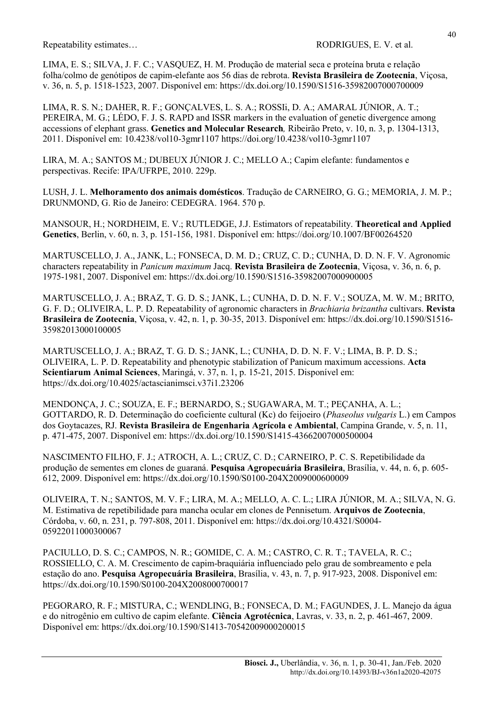LIMA, E. S.; SILVA, J. F. C.; VASQUEZ, H. M. Produção de material seca e proteína bruta e relação folha/colmo de genótipos de capim-elefante aos 56 dias de rebrota. Revista Brasileira de Zootecnia, Viçosa, v. 36, n. 5, p. 1518-1523, 2007. Disponível em: https://dx.doi.org/10.1590/S1516-35982007000700009

LIMA, R. S. N.; DAHER, R. F.; GONÇALVES, L. S. A.; ROSSIi, D. A.; AMARAL JÚNIOR, A. T.; PEREIRA, M. G.; LÉDO, F. J. S. RAPD and ISSR markers in the evaluation of genetic divergence among accessions of elephant grass. Genetics and Molecular Research, Ribeirão Preto, v. 10, n. 3, p. 1304-1313, 2011. Disponível em: 10.4238/vol10-3gmr1107 https://doi.org/10.4238/vol10-3gmr1107

LIRA, M. A.; SANTOS M.; DUBEUX JÚNIOR J. C.; MELLO A.; Capim elefante: fundamentos e perspectivas. Recife: IPA/UFRPE, 2010. 229p.

LUSH, J. L. Melhoramento dos animais domésticos. Tradução de CARNEIRO, G. G.; MEMORIA, J. M. P.; DRUNMOND, G. Rio de Janeiro: CEDEGRA. 1964. 570 p.

MANSOUR, H.; NORDHEIM, E. V.; RUTLEDGE, J.J. Estimators of repeatability. Theoretical and Applied Genetics, Berlin, v. 60, n. 3, p. 151‑156, 1981. Disponível em: https://doi.org/10.1007/BF00264520

MARTUSCELLO, J. A., JANK, L.; FONSECA, D. M. D.; CRUZ, C. D.; CUNHA, D. D. N. F. V. Agronomic characters repeatability in *Panicum maximum* Jacq. Revista Brasileira de Zootecnia, Vicosa, v. 36, n. 6, p. 1975-1981, 2007. Disponível em: https://dx.doi.org/10.1590/S1516-35982007000900005

MARTUSCELLO, J. A.; BRAZ, T. G. D. S.; JANK, L.; CUNHA, D. D. N. F. V.; SOUZA, M. W. M.; BRITO, G. F. D.; OLIVEIRA, L. P. D. Repeatability of agronomic characters in Brachiaria brizantha cultivars. Revista Brasileira de Zootecnia, Viçosa, v. 42, n. 1, p. 30-35, 2013. Disponível em: https://dx.doi.org/10.1590/S1516- 35982013000100005

MARTUSCELLO, J. A.; BRAZ, T. G. D. S.; JANK, L.; CUNHA, D. D. N. F. V.; LIMA, B. P. D. S.; OLIVEIRA, L. P. D. Repeatability and phenotypic stabilization of Panicum maximum accessions. Acta Scientiarum Animal Sciences, Maringá, v. 37, n. 1, p. 15-21, 2015. Disponível em: https://dx.doi.org/10.4025/actascianimsci.v37i1.23206

MENDONÇA, J. C.; SOUZA, E. F.; BERNARDO, S.; SUGAWARA, M. T.; PEÇANHA, A. L.; GOTTARDO, R. D. Determinação do coeficiente cultural (Kc) do feijoeiro (Phaseolus vulgaris L.) em Campos dos Goytacazes, RJ. Revista Brasileira de Engenharia Agrícola e Ambiental, Campina Grande, v. 5, n. 11, p. 471-475, 2007. Disponível em: https://dx.doi.org/10.1590/S1415-43662007000500004

NASCIMENTO FILHO, F. J.; ATROCH, A. L.; CRUZ, C. D.; CARNEIRO, P. C. S. Repetibilidade da produção de sementes em clones de guaraná. Pesquisa Agropecuária Brasileira, Brasília, v. 44, n. 6, p. 605- 612, 2009. Disponível em: https://dx.doi.org/10.1590/S0100-204X2009000600009

OLIVEIRA, T. N.; SANTOS, M. V. F.; LIRA, M. A.; MELLO, A. C. L.; LIRA JÚNIOR, M. A.; SILVA, N. G. M. Estimativa de repetibilidade para mancha ocular em clones de Pennisetum. Arquivos de Zootecnia, Córdoba, v. 60, n. 231, p. 797-808, 2011. Disponível em: https://dx.doi.org/10.4321/S0004- 05922011000300067

PACIULLO, D. S. C.; CAMPOS, N. R.; GOMIDE, C. A. M.; CASTRO, C. R. T.; TAVELA, R. C.; ROSSIELLO, C. A. M. Crescimento de capim-braquiária influenciado pelo grau de sombreamento e pela estação do ano. Pesquisa Agropecuária Brasileira, Brasília, v. 43, n. 7, p. 917-923, 2008. Disponível em: https://dx.doi.org/10.1590/S0100-204X2008000700017

PEGORARO, R. F.; MISTURA, C.; WENDLING, B.; FONSECA, D. M.; FAGUNDES, J. L. Manejo da água e do nitrogênio em cultivo de capim elefante. Ciência Agrotécnica, Lavras, v. 33, n. 2, p. 461-467, 2009. Disponível em: https://dx.doi.org/10.1590/S1413-70542009000200015